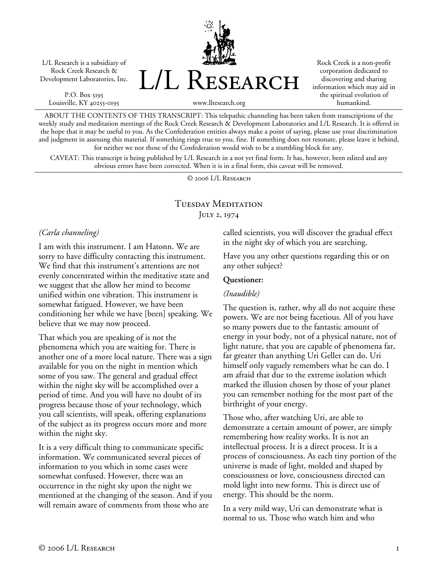L/L Research is a subsidiary of Rock Creek Research & Development Laboratories, Inc.

P.O. Box 5195 Louisville, KY 40255-0195 L/L Research

Rock Creek is a non-profit corporation dedicated to discovering and sharing information which may aid in the spiritual evolution of humankind.

www.llresearch.org

ABOUT THE CONTENTS OF THIS TRANSCRIPT: This telepathic channeling has been taken from transcriptions of the weekly study and meditation meetings of the Rock Creek Research & Development Laboratories and L/L Research. It is offered in the hope that it may be useful to you. As the Confederation entities always make a point of saying, please use your discrimination and judgment in assessing this material. If something rings true to you, fine. If something does not resonate, please leave it behind, for neither we nor those of the Confederation would wish to be a stumbling block for any.

CAVEAT: This transcript is being published by L/L Research in a not yet final form. It has, however, been edited and any obvious errors have been corrected. When it is in a final form, this caveat will be removed.

© 2006 L/L Research

# Tuesday Meditation July 2, 1974

#### *(Carla channeling)*

I am with this instrument. I am Hatonn. We are sorry to have difficulty contacting this instrument. We find that this instrument's attentions are not evenly concentrated within the meditative state and we suggest that she allow her mind to become unified within one vibration. This instrument is somewhat fatigued. However, we have been conditioning her while we have [been] speaking. We believe that we may now proceed.

That which you are speaking of is not the phenomena which you are waiting for. There is another one of a more local nature. There was a sign available for you on the night in mention which some of you saw. The general and gradual effect within the night sky will be accomplished over a period of time. And you will have no doubt of its progress because those of your technology, which you call scientists, will speak, offering explanations of the subject as its progress occurs more and more within the night sky.

It is a very difficult thing to communicate specific information. We communicated several pieces of information to you which in some cases were somewhat confused. However, there was an occurrence in the night sky upon the night we mentioned at the changing of the season. And if you will remain aware of comments from those who are

called scientists, you will discover the gradual effect in the night sky of which you are searching.

Have you any other questions regarding this or on any other subject?

#### **Questioner:**

#### *(Inaudible)*

The question is, rather, why all do not acquire these powers. We are not being facetious. All of you have so many powers due to the fantastic amount of energy in your body, not of a physical nature, not of light nature, that you are capable of phenomena far, far greater than anything Uri Geller can do. Uri himself only vaguely remembers what he can do. I am afraid that due to the extreme isolation which marked the illusion chosen by those of your planet you can remember nothing for the most part of the birthright of your energy.

Those who, after watching Uri, are able to demonstrate a certain amount of power, are simply remembering how reality works. It is not an intellectual process. It is a direct process. It is a process of consciousness. As each tiny portion of the universe is made of light, molded and shaped by consciousness or love, consciousness directed can mold light into new forms. This is direct use of energy. This should be the norm.

In a very mild way, Uri can demonstrate what is normal to us. Those who watch him and who